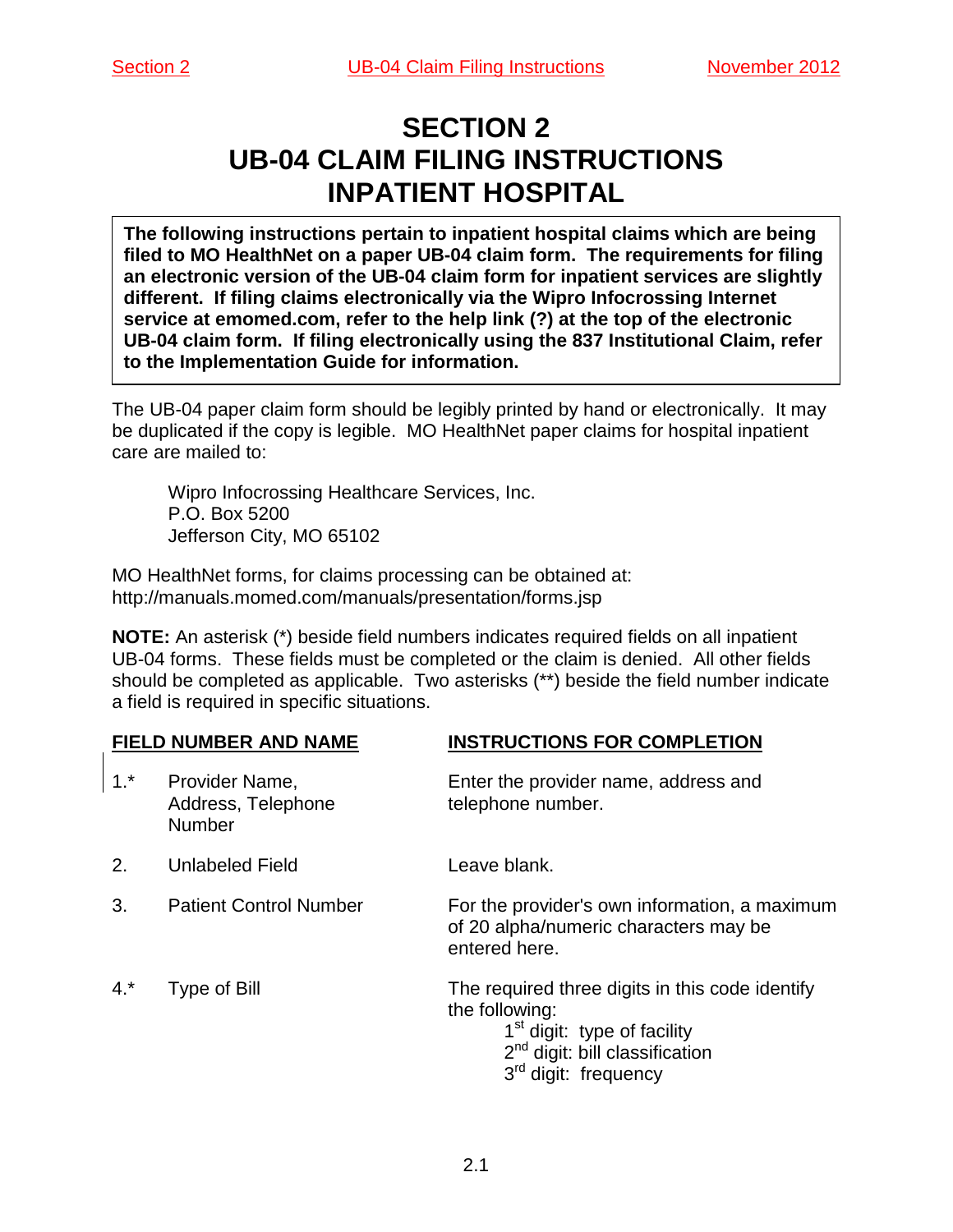# **SECTION 2 UB-04 CLAIM FILING INSTRUCTIONS INPATIENT HOSPITAL**

**The following instructions pertain to inpatient hospital claims which are being filed to MO HealthNet on a paper UB-04 claim form. The requirements for filing an electronic version of the UB-04 claim form for inpatient services are slightly different. If filing claims electronically via the Wipro Infocrossing Internet service at emomed.com, refer to the help link (?) at the top of the electronic UB-04 claim form. If filing electronically using the 837 Institutional Claim, refer to the Implementation Guide for information.**

The UB-04 paper claim form should be legibly printed by hand or electronically. It may be duplicated if the copy is legible. MO HealthNet paper claims for hospital inpatient care are mailed to:

Wipro Infocrossing Healthcare Services, Inc. P.O. Box 5200 Jefferson City, MO 65102

MO HealthNet forms, for claims processing can be obtained at: http://manuals.momed.com/manuals/presentation/forms.jsp

**NOTE:** An asterisk (\*) beside field numbers indicates required fields on all inpatient UB-04 forms. These fields must be completed or the claim is denied. All other fields should be completed as applicable. Two asterisks (\*\*) beside the field number indicate a field is required in specific situations.

### **FIELD NUMBER AND NAME INSTRUCTIONS FOR COMPLETION**

| $1.*$ | Provider Name,<br>Address, Telephone<br><b>Number</b> | Enter the provider name, address and<br>telephone number.                                                                                                                            |
|-------|-------------------------------------------------------|--------------------------------------------------------------------------------------------------------------------------------------------------------------------------------------|
| 2.    | <b>Unlabeled Field</b>                                | Leave blank.                                                                                                                                                                         |
| 3.    | <b>Patient Control Number</b>                         | For the provider's own information, a maximum<br>of 20 alpha/numeric characters may be<br>entered here.                                                                              |
| $4.*$ | Type of Bill                                          | The required three digits in this code identify<br>the following:<br>1 <sup>st</sup> digit: type of facility<br>$2nd$ digit: bill classification<br>3 <sup>rd</sup> digit: frequency |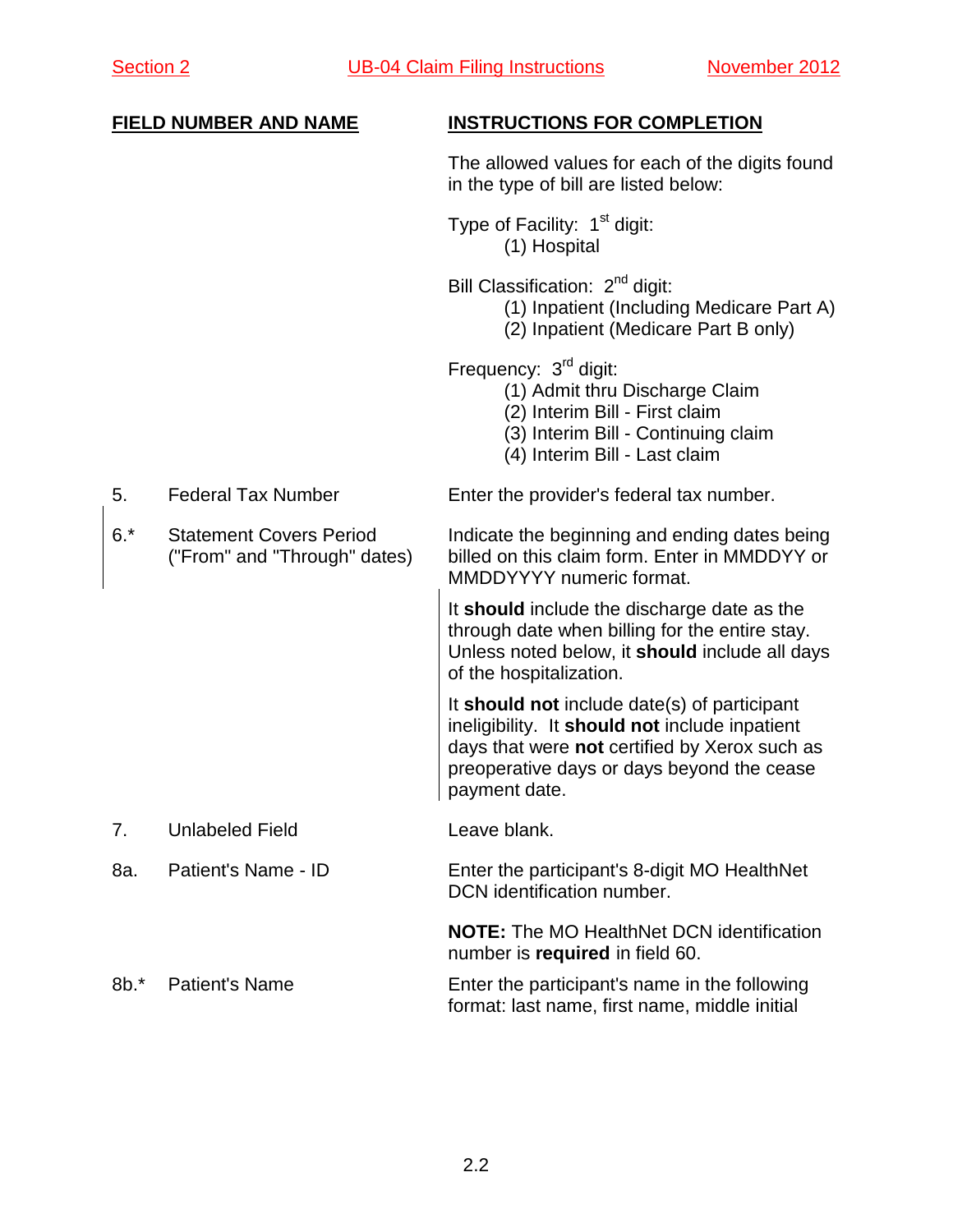## The allowed values for each of the digits found in the type of bill are listed below: Type of Facility:  $1<sup>st</sup>$  digit: (1) Hospital Bill Classification: 2<sup>nd</sup> digit: (1) Inpatient (Including Medicare Part A) (2) Inpatient (Medicare Part B only) Frequency: 3<sup>rd</sup> digit: (1) Admit thru Discharge Claim (2) Interim Bill - First claim (3) Interim Bill - Continuing claim (4) Interim Bill - Last claim 5. Federal Tax Number Enter the provider's federal tax number. 6.\* Statement Covers Period Indicate the beginning and ending dates being<br>("From" and "Through" dates) billed on this claim form. Enter in MMDDYY or billed on this claim form. Enter in MMDDYY or MMDDYYYY numeric format. It **should** include the discharge date as the through date when billing for the entire stay. Unless noted below, it **should** include all days of the hospitalization. It **should not** include date(s) of participant ineligibility. It **should not** include inpatient days that were **not** certified by Xerox such as preoperative days or days beyond the cease payment date. 7. Unlabeled Field **Leave blank.** 8a. Patient's Name - ID Enter the participant's 8-digit MO HealthNet DCN identification number. **NOTE:** The MO HealthNet DCN identification number is **required** in field 60. 8b.\* Patient's Name Enter the participant's name in the following format: last name, first name, middle initial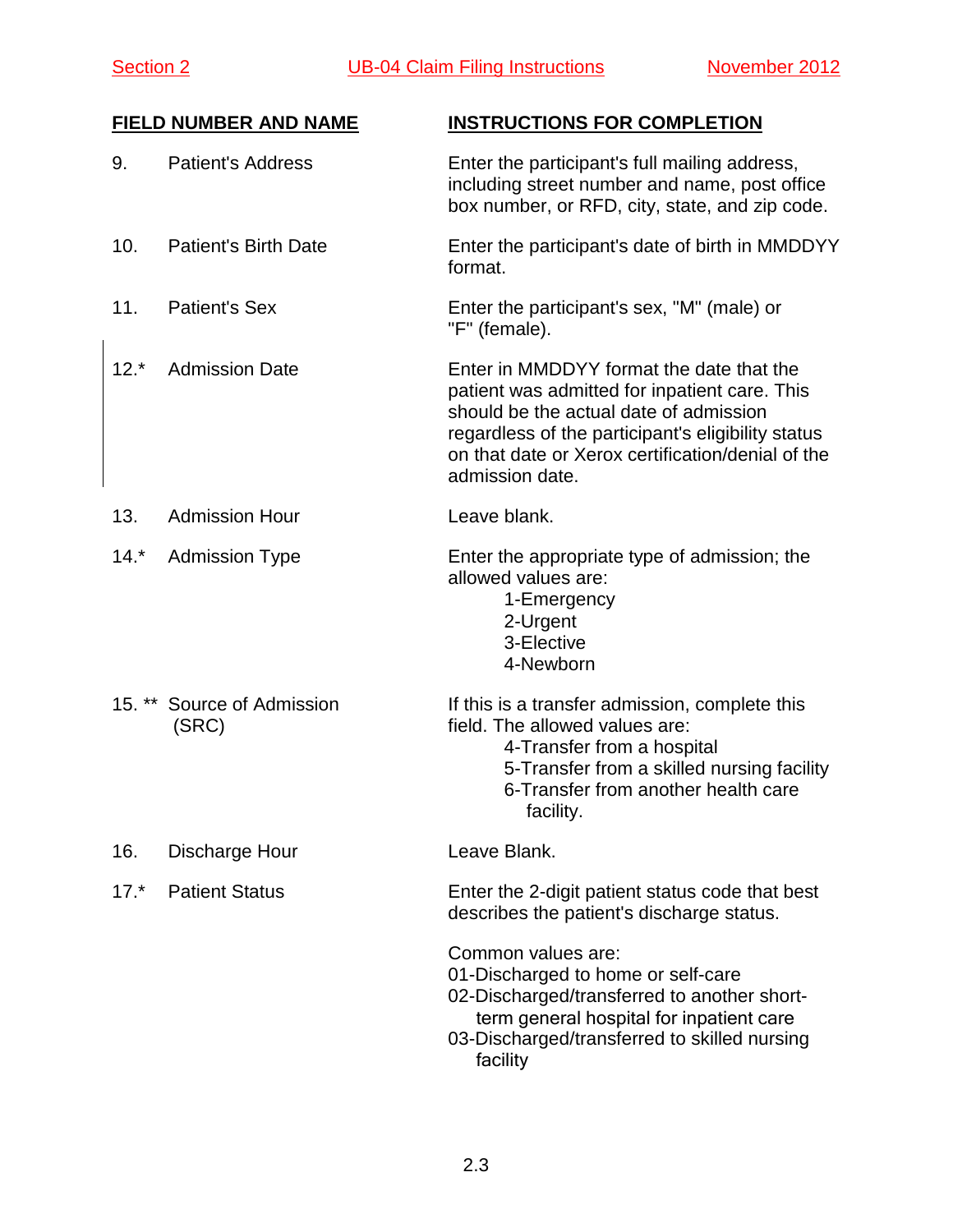| 9.     | <b>Patient's Address</b>            | Enter the participant's full mailing address,<br>including street number and name, post office<br>box number, or RFD, city, state, and zip code.                                                                                                                  |
|--------|-------------------------------------|-------------------------------------------------------------------------------------------------------------------------------------------------------------------------------------------------------------------------------------------------------------------|
| 10.    | <b>Patient's Birth Date</b>         | Enter the participant's date of birth in MMDDYY<br>format.                                                                                                                                                                                                        |
| 11.    | <b>Patient's Sex</b>                | Enter the participant's sex, "M" (male) or<br>"F" (female).                                                                                                                                                                                                       |
| $12.*$ | <b>Admission Date</b>               | Enter in MMDDYY format the date that the<br>patient was admitted for inpatient care. This<br>should be the actual date of admission<br>regardless of the participant's eligibility status<br>on that date or Xerox certification/denial of the<br>admission date. |
| 13.    | <b>Admission Hour</b>               | Leave blank.                                                                                                                                                                                                                                                      |
| $14.*$ | <b>Admission Type</b>               | Enter the appropriate type of admission; the<br>allowed values are:<br>1-Emergency<br>2-Urgent<br>3-Elective<br>4-Newborn                                                                                                                                         |
|        | 15. ** Source of Admission<br>(SRC) | If this is a transfer admission, complete this<br>field. The allowed values are:<br>4-Transfer from a hospital<br>5-Transfer from a skilled nursing facility<br>6-Transfer from another health care<br>facility.                                                  |
| 16.    | Discharge Hour                      | Leave Blank.                                                                                                                                                                                                                                                      |
| $17.*$ | <b>Patient Status</b>               | Enter the 2-digit patient status code that best<br>describes the patient's discharge status.                                                                                                                                                                      |
|        |                                     | Common values are:<br>01-Discharged to home or self-care<br>02-Discharged/transferred to another short-<br>term general hospital for inpatient care<br>03-Discharged/transferred to skilled nursing<br>facility                                                   |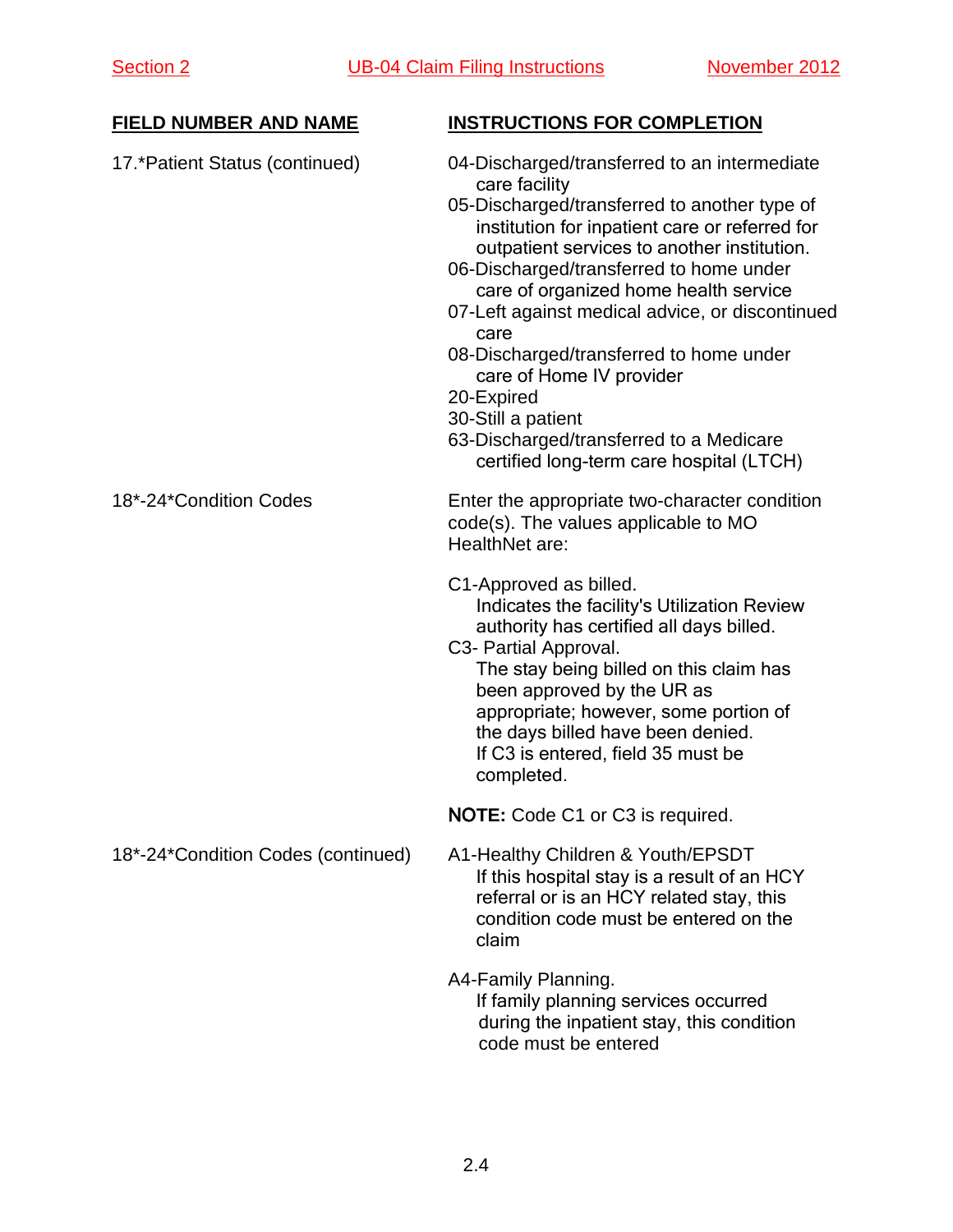| <b>FIELD NUMBER AND NAME</b>       | <b>INSTRUCTIONS FOR COMPLETION</b>                                                                                                                                                                                                                                                                                                                                                                                                                                                                                                                              |  |  |  |
|------------------------------------|-----------------------------------------------------------------------------------------------------------------------------------------------------------------------------------------------------------------------------------------------------------------------------------------------------------------------------------------------------------------------------------------------------------------------------------------------------------------------------------------------------------------------------------------------------------------|--|--|--|
| 17.*Patient Status (continued)     | 04-Discharged/transferred to an intermediate<br>care facility<br>05-Discharged/transferred to another type of<br>institution for inpatient care or referred for<br>outpatient services to another institution.<br>06-Discharged/transferred to home under<br>care of organized home health service<br>07-Left against medical advice, or discontinued<br>care<br>08-Discharged/transferred to home under<br>care of Home IV provider<br>20-Expired<br>30-Still a patient<br>63-Discharged/transferred to a Medicare<br>certified long-term care hospital (LTCH) |  |  |  |
| 18*-24*Condition Codes             | Enter the appropriate two-character condition<br>code(s). The values applicable to MO<br>HealthNet are:                                                                                                                                                                                                                                                                                                                                                                                                                                                         |  |  |  |
|                                    | C1-Approved as billed.<br>Indicates the facility's Utilization Review<br>authority has certified all days billed.<br>C3- Partial Approval.<br>The stay being billed on this claim has<br>been approved by the UR as<br>appropriate; however, some portion of<br>the days billed have been denied.<br>If C3 is entered, field 35 must be<br>completed.                                                                                                                                                                                                           |  |  |  |
|                                    | NOTE: Code C1 or C3 is required.                                                                                                                                                                                                                                                                                                                                                                                                                                                                                                                                |  |  |  |
| 18*-24*Condition Codes (continued) | A1-Healthy Children & Youth/EPSDT<br>If this hospital stay is a result of an HCY<br>referral or is an HCY related stay, this<br>condition code must be entered on the<br>claim                                                                                                                                                                                                                                                                                                                                                                                  |  |  |  |
|                                    | A4-Family Planning.<br>If family planning services occurred<br>during the inpatient stay, this condition<br>code must be entered                                                                                                                                                                                                                                                                                                                                                                                                                                |  |  |  |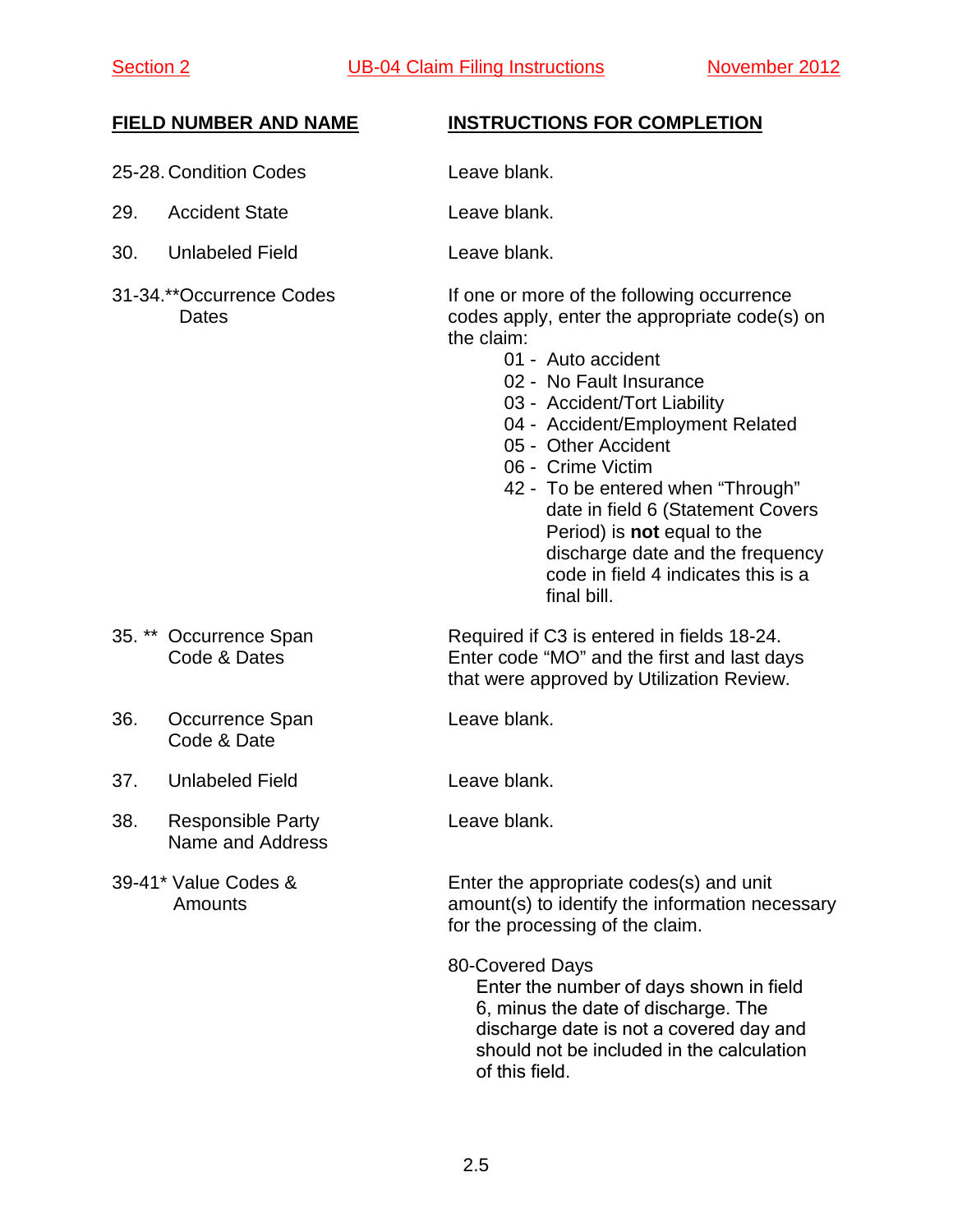- 25-28. Condition Codes Leave blank.
- 29. Accident State Leave blank.
- 30. Unlabeled Field Leave blank.
- 

- 36. Occurrence Span Leave blank. Code & Date
- 37. Unlabeled Field Leave blank.
- 38. Responsible Party **Leave blank.** Name and Address
- 

- 
- 
- 

31-34.\*\*Occurrence Codes If one or more of the following occurrence Dates codes apply, enter the appropriate code(s) on the claim:

- 01 Auto accident
- 02 No Fault Insurance
- 03 Accident/Tort Liability
- 04 Accident/Employment Related
- 05 Other Accident
- 06 Crime Victim
- 42 To be entered when "Through" date in field 6 (Statement Covers Period) is **not** equal to the discharge date and the frequency code in field 4 indicates this is a final bill.

35. \*\* Occurrence Span Required if C3 is entered in fields 18-24. Code & Dates Enter code "MO" and the first and last days that were approved by Utilization Review.

39-41\* Value Codes & Enter the appropriate codes(s) and unit Amounts amount(s) to identify the information necessary for the processing of the claim.

80-Covered Days

Enter the number of days shown in field 6, minus the date of discharge. The discharge date is not a covered day and should not be included in the calculation of this field.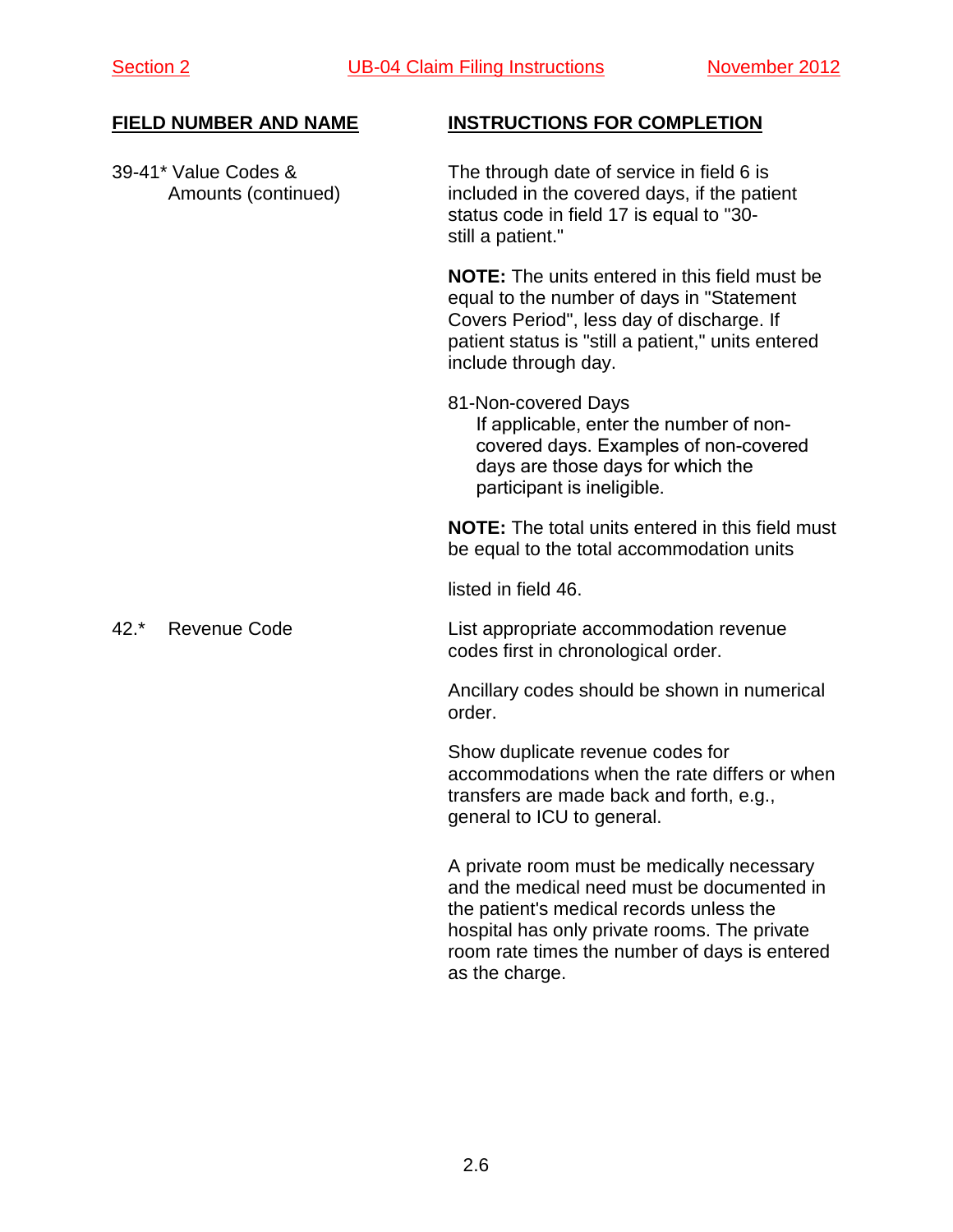39-41\* Value Codes & The through date of service in field 6 is Amounts (continued) included in the covered days, if the patient status code in field 17 is equal to "30 still a patient."

> **NOTE:** The units entered in this field must be equal to the number of days in "Statement Covers Period", less day of discharge. If patient status is "still a patient," units entered include through day.

81-Non-covered Days If applicable, enter the number of noncovered days. Examples of non-covered days are those days for which the participant is ineligible.

**NOTE:** The total units entered in this field must be equal to the total accommodation units

listed in field 46.

42.\* Revenue Code List appropriate accommodation revenue codes first in chronological order.

> Ancillary codes should be shown in numerical order.

Show duplicate revenue codes for accommodations when the rate differs or when transfers are made back and forth, e.g., general to ICU to general.

A private room must be medically necessary and the medical need must be documented in the patient's medical records unless the hospital has only private rooms. The private room rate times the number of days is entered as the charge.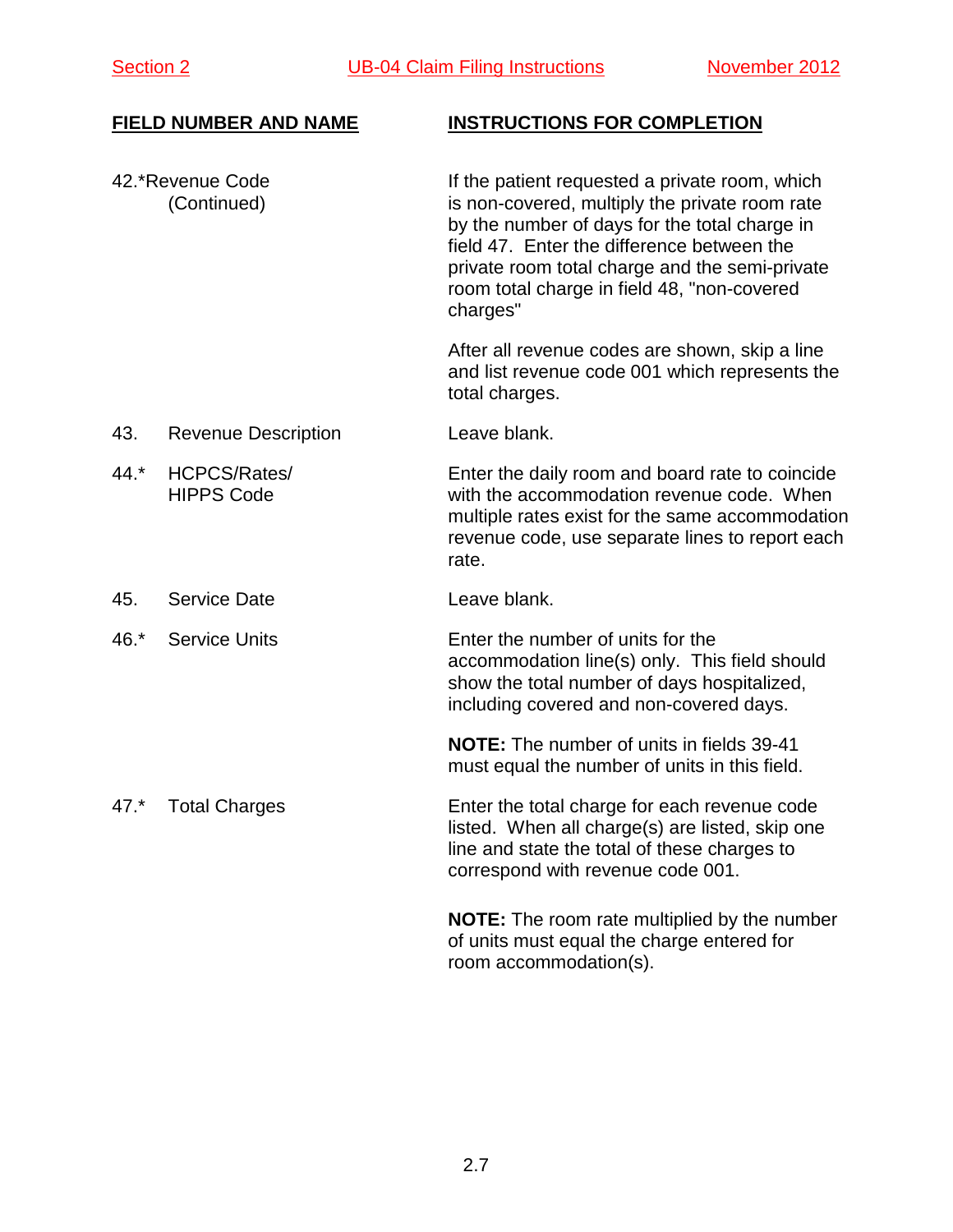42.\*Revenue Code If the patient requested a private room, which (Continued) is non-covered, multiply the private room rate by the number of days for the total charge in field 47. Enter the difference between the private room total charge and the semi-private room total charge in field 48, "non-covered charges"

> After all revenue codes are shown, skip a line and list revenue code 001 which represents the total charges.

- 43. Revenue Description Leave blank.
- 44.\* HCPCS/Rates/ Enter the daily room and board rate to coincide HIPPS Code with the accommodation revenue code. When multiple rates exist for the same accommodation revenue code, use separate lines to report each rate.
- 45. Service Date **Leave blank**.
- 46.\* Service Units Enter the number of units for the accommodation line(s) only. This field should show the total number of days hospitalized, including covered and non-covered days.

**NOTE:** The number of units in fields 39-41 must equal the number of units in this field.

47.\* Total Charges Enter the total charge for each revenue code listed. When all charge(s) are listed, skip one line and state the total of these charges to correspond with revenue code 001.

> **NOTE:** The room rate multiplied by the number of units must equal the charge entered for room accommodation(s).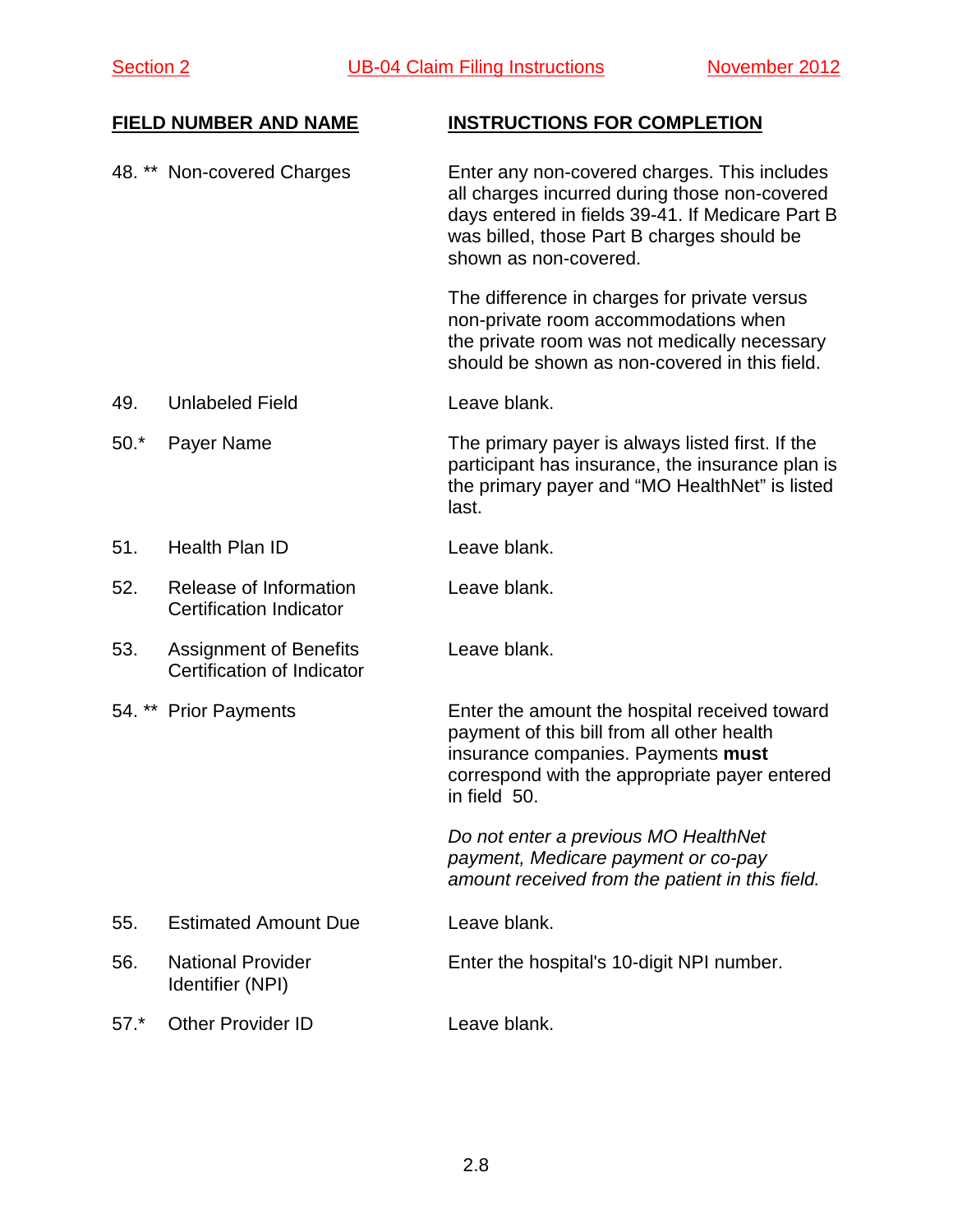48. \*\* Non-covered Charges Enter any non-covered charges. This includes all charges incurred during those non-covered days entered in fields 39-41. If Medicare Part B was billed, those Part B charges should be shown as non-covered. The difference in charges for private versus non-private room accommodations when the private room was not medically necessary should be shown as non-covered in this field. 49. Unlabeled Field Leave blank. 50.\* Payer Name The primary payer is always listed first. If the participant has insurance, the insurance plan is the primary payer and "MO HealthNet" is listed last. 51. Health Plan ID Leave blank. 52. Release of Information Leave blank. Certification Indicator 53. Assignment of Benefits Leave blank. Certification of Indicator 54. \*\* Prior Payments Enter the amount the hospital received toward payment of this bill from all other health insurance companies. Payments **must** correspond with the appropriate payer entered in field 50. *Do not enter a previous MO HealthNet payment, Medicare payment or co-pay amount received from the patient in this field.*  55. Estimated Amount Due Leave blank. 56. National Provider Enter the hospital's 10-digit NPI number. Identifier (NPI) 57.\* Other Provider ID Leave blank.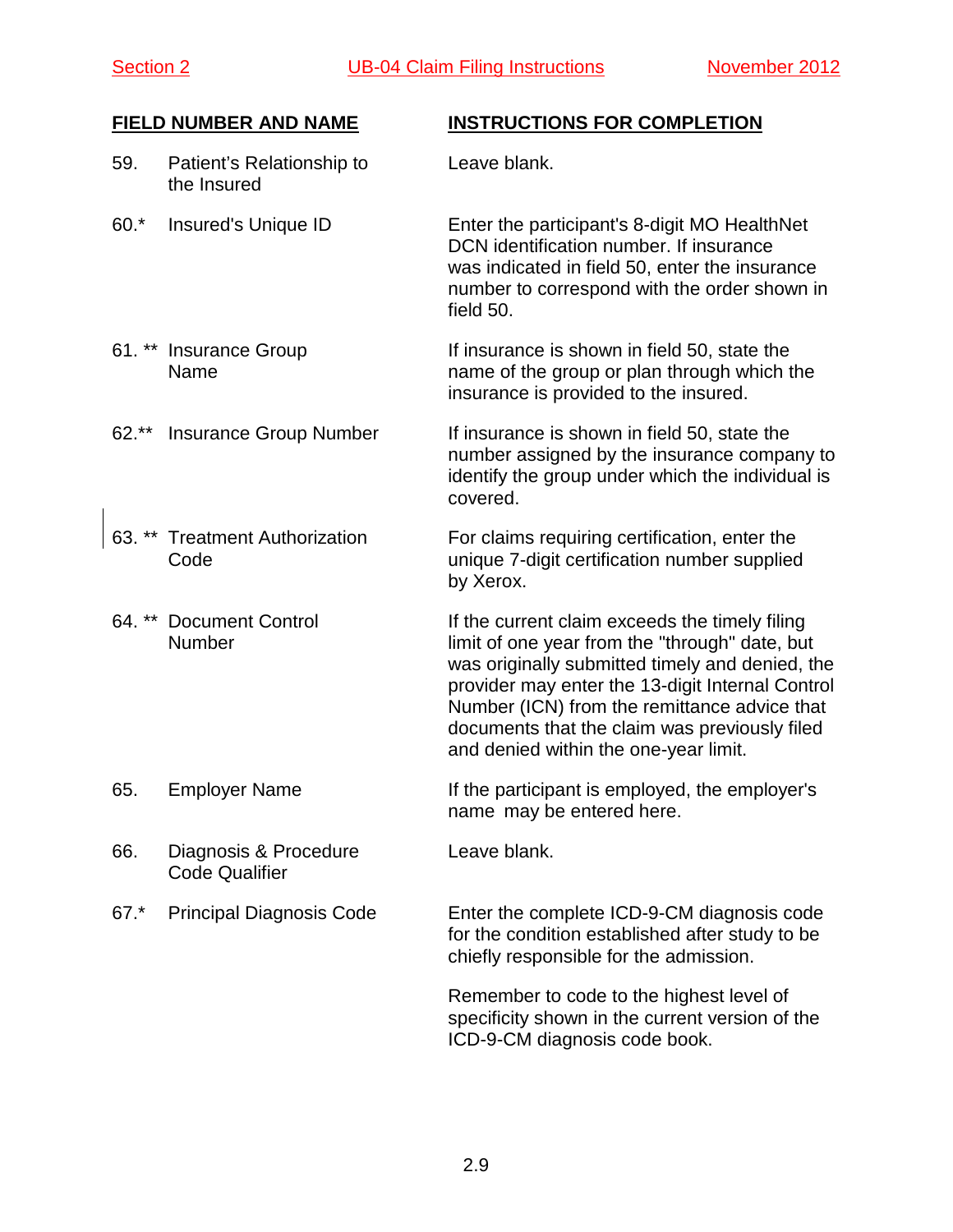### 59. Patient's Relationship to Leave blank. the Insured

60.\* Insured's Unique ID Enter the participant's 8-digit MO HealthNet DCN identification number. If insurance was indicated in field 50, enter the insurance number to correspond with the order shown in field 50.

- 61. \*\* Insurance Group If insurance is shown in field 50, state the Name name of the group or plan through which the insurance is provided to the insured.
- 62<sup>\*\*</sup> Insurance Group Number If insurance is shown in field 50, state the number assigned by the insurance company to identify the group under which the individual is covered.
- 63. \*\* Treatment Authorization For claims requiring certification, enter the Code unique 7-digit certification number supplied by Xerox.
- 64. \*\* Document Control **If the current claim exceeds the timely filing** Number limit of one year from the "through" date, but was originally submitted timely and denied, the provider may enter the 13-digit Internal Control Number (ICN) from the remittance advice that documents that the claim was previously filed and denied within the one-year limit.
- 65. Employer Name **If the participant is employed, the employer's** name may be entered here.
- 66. Diagnosis & Procedure Leave blank. Code Qualifier
- 

67.\* Principal Diagnosis Code Enter the complete ICD-9-CM diagnosis code for the condition established after study to be chiefly responsible for the admission.

> Remember to code to the highest level of specificity shown in the current version of the ICD-9-CM diagnosis code book.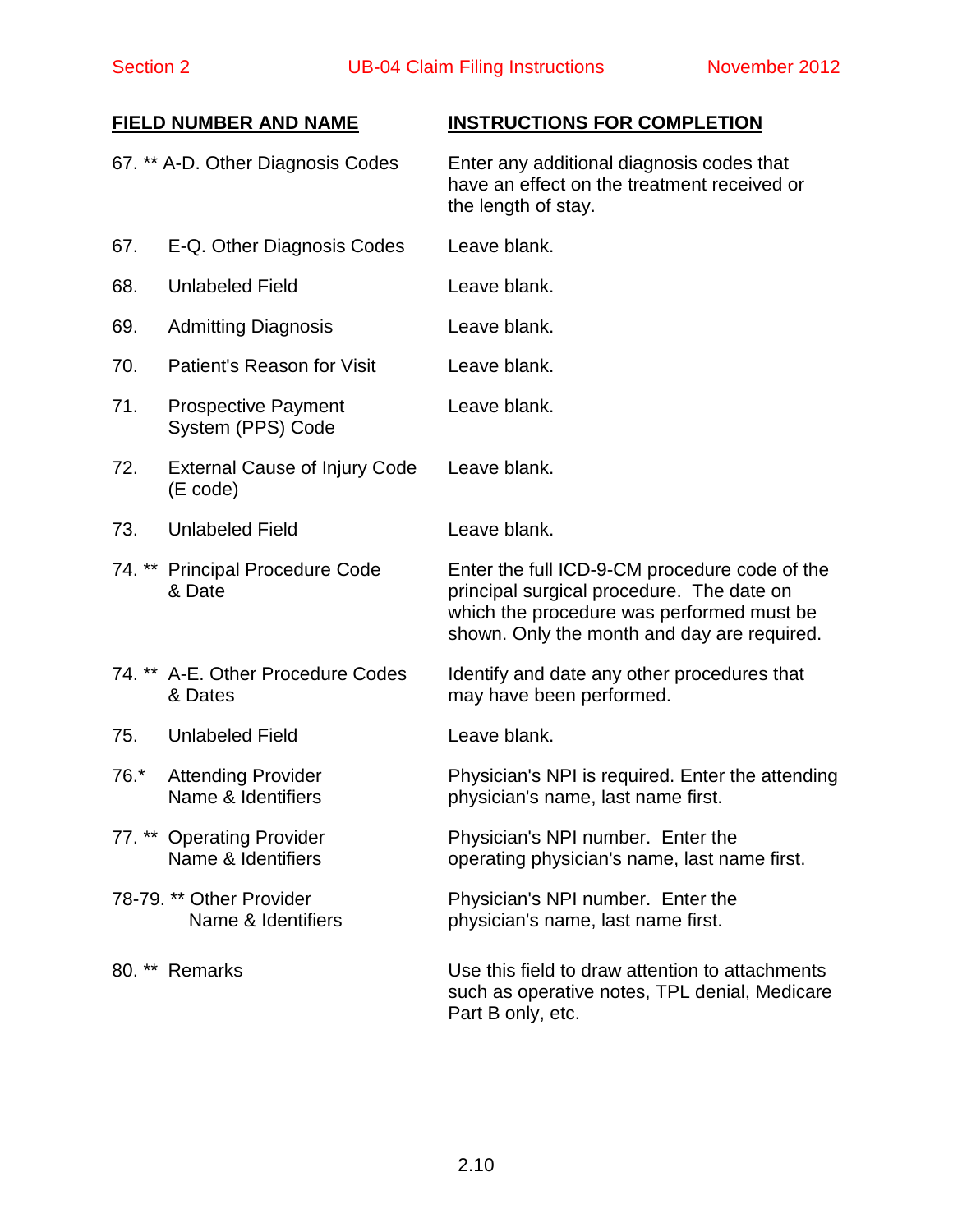|        | 67. ** A-D. Other Diagnosis Codes                | Enter any additional diagnosis codes that<br>have an effect on the treatment received or<br>the length of stay.                                                                        |
|--------|--------------------------------------------------|----------------------------------------------------------------------------------------------------------------------------------------------------------------------------------------|
| 67.    | E-Q. Other Diagnosis Codes                       | Leave blank.                                                                                                                                                                           |
| 68.    | <b>Unlabeled Field</b>                           | Leave blank.                                                                                                                                                                           |
| 69.    | <b>Admitting Diagnosis</b>                       | Leave blank.                                                                                                                                                                           |
| 70.    | Patient's Reason for Visit                       | Leave blank.                                                                                                                                                                           |
| 71.    | <b>Prospective Payment</b><br>System (PPS) Code  | Leave blank.                                                                                                                                                                           |
| 72.    | <b>External Cause of Injury Code</b><br>(E code) | Leave blank.                                                                                                                                                                           |
| 73.    | <b>Unlabeled Field</b>                           | Leave blank.                                                                                                                                                                           |
|        | 74. ** Principal Procedure Code<br>& Date        | Enter the full ICD-9-CM procedure code of the<br>principal surgical procedure. The date on<br>which the procedure was performed must be<br>shown. Only the month and day are required. |
|        | 74. ** A-E. Other Procedure Codes<br>& Dates     | Identify and date any other procedures that<br>may have been performed.                                                                                                                |
| 75.    | <b>Unlabeled Field</b>                           | Leave blank.                                                                                                                                                                           |
| $76.*$ | <b>Attending Provider</b><br>Name & Identifiers  | Physician's NPI is required. Enter the attending<br>physician's name, last name first.                                                                                                 |
|        | 77. ** Operating Provider<br>Name & Identifiers  | Physician's NPI number. Enter the<br>operating physician's name, last name first.                                                                                                      |
|        | 78-79. ** Other Provider<br>Name & Identifiers   | Physician's NPI number. Enter the<br>physician's name, last name first.                                                                                                                |
| 80. ** | Remarks                                          | Use this field to draw attention to attachments<br>such as operative notes, TPL denial, Medicare<br>Part B only, etc.                                                                  |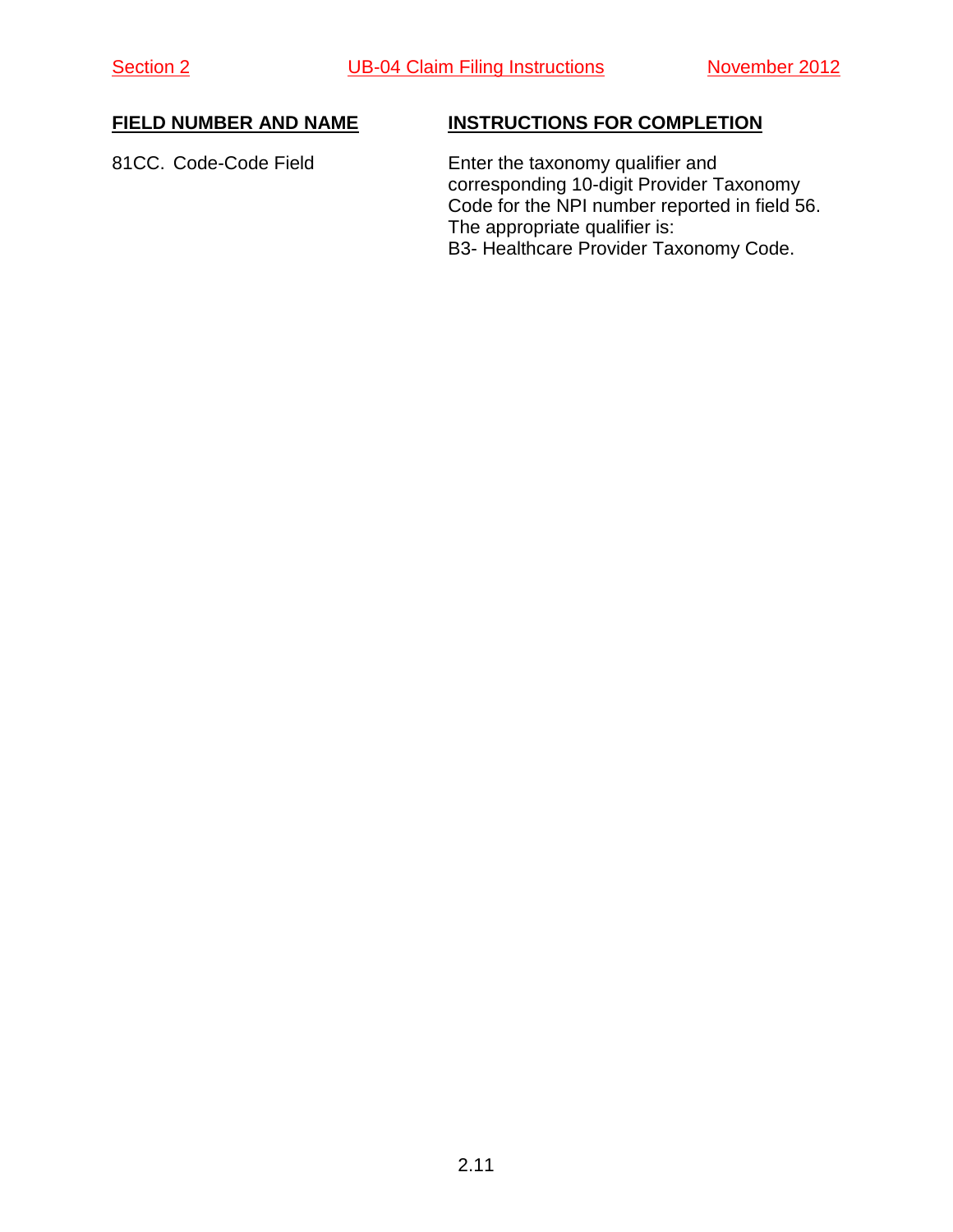81CC. Code-Code Field Enter the taxonomy qualifier and corresponding 10-digit Provider Taxonomy Code for the NPI number reported in field 56. The appropriate qualifier is: B3- Healthcare Provider Taxonomy Code.